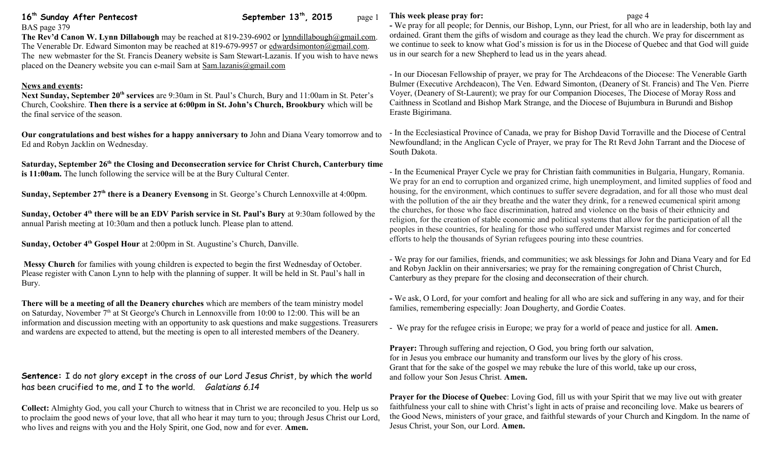# **16<sup>th</sup> Sunday After Pentecost** September 13<sup>th</sup>, 2015 page 1

BAS page 379 **The Rev'd Canon W. Lynn Dillabough** may be reached at 819-239-6902 or [lynndillabough@gmail.com.](mailto:lynndillabough@gmail.com) The Venerable Dr. Edward Simonton may be reached at 819-679-9957 or [edwardsimonton@gmail.com.](mailto:edwardsimonton@gmail.com) The new webmaster for the St. Francis Deanery website is Sam Stewart-Lazanis. If you wish to have news placed on the Deanery website you can e-mail Sam at [Sam.lazanis@gmail.com](mailto:Sam.lazanis@gmail.com)

## **News and events:**

**Next Sunday, September 20th services** are 9:30am in St. Paul's Church, Bury and 11:00am in St. Peter's Church, Cookshire. **Then there is a service at 6:00pm in St. John's Church, Brookbury** which will be the final service of the season.

**Our congratulations and best wishes for a happy anniversary to** John and Diana Veary tomorrow and to Ed and Robyn Jacklin on Wednesday.

**Saturday, September 26th the Closing and Deconsecration service for Christ Church, Canterbury time is 11:00am.** The lunch following the service will be at the Bury Cultural Center.

**Sunday, September 27th there is a Deanery Evensong** in St. George's Church Lennoxville at 4:00pm.

**Sunday, October 4th there will be an EDV Parish service in St. Paul's Bury** at 9:30am followed by the annual Parish meeting at 10:30am and then a potluck lunch. Please plan to attend.

**Sunday, October 4th Gospel Hour** at 2:00pm in St. Augustine's Church, Danville.

**Messy Church** for families with young children is expected to begin the first Wednesday of October. Please register with Canon Lynn to help with the planning of supper. It will be held in St. Paul's hall in Bury.

**There will be a meeting of all the Deanery churches** which are members of the team ministry model on Saturday, November  $7<sup>th</sup>$  at St George's Church in Lennoxville from 10:00 to 12:00. This will be an information and discussion meeting with an opportunity to ask questions and make suggestions. Treasurers and wardens are expected to attend, but the meeting is open to all interested members of the Deanery.

**Sentence:** I do not glory except in the cross of our Lord Jesus Christ, by which the world has been crucified to me, and I to the world. *Galatians 6.14*

**Collect:** Almighty God, you call your Church to witness that in Christ we are reconciled to you. Help us so to proclaim the good news of your love, that all who hear it may turn to you; through Jesus Christ our Lord, who lives and reigns with you and the Holy Spirit, one God, now and for ever. **Amen.**

## **This week please pray for:**  $page 4$

**-** We pray for all people; for Dennis, our Bishop, Lynn, our Priest, for all who are in leadership, both lay and ordained. Grant them the gifts of wisdom and courage as they lead the church. We pray for discernment as we continue to seek to know what God's mission is for us in the Diocese of Quebec and that God will guide us in our search for a new Shepherd to lead us in the years ahead.

- In our Diocesan Fellowship of prayer, we pray for The Archdeacons of the Diocese: The Venerable Garth Bulmer (Executive Archdeacon), The Ven. Edward Simonton, (Deanery of St. Francis) and The Ven. Pierre Voyer, (Deanery of St-Laurent); we pray for our Companion Dioceses, The Diocese of Moray Ross and Caithness in Scotland and Bishop Mark Strange, and the Diocese of Bujumbura in Burundi and Bishop Eraste Bigirimana.

- In the Ecclesiastical Province of Canada, we pray for Bishop David Torraville and the Diocese of Central Newfoundland; in the Anglican Cycle of Prayer, we pray for The Rt Revd John Tarrant and the Diocese of South Dakota.

- In the Ecumenical Prayer Cycle we pray for Christian faith communities in Bulgaria, Hungary, Romania. We pray for an end to corruption and organized crime, high unemployment, and limited supplies of food and housing, for the environment, which continues to suffer severe degradation, and for all those who must deal with the pollution of the air they breathe and the water they drink, for a renewed ecumenical spirit among the churches, for those who face discrimination, hatred and violence on the basis of their ethnicity and religion, for the creation of stable economic and political systems that allow for the participation of all the peoples in these countries, for healing for those who suffered under Marxist regimes and for concerted efforts to help the thousands of Syrian refugees pouring into these countries.

- We pray for our families, friends, and communities; we ask blessings for John and Diana Veary and for Ed and Robyn Jacklin on their anniversaries; we pray for the remaining congregation of Christ Church, Canterbury as they prepare for the closing and deconsecration of their church.

**-** We ask, O Lord, for your comfort and healing for all who are sick and suffering in any way, and for their families, remembering especially: Joan Dougherty, and Gordie Coates.

- We pray for the refugee crisis in Europe; we pray for a world of peace and justice for all. **Amen.**

**Prayer:** Through suffering and rejection, O God, you bring forth our salvation, for in Jesus you embrace our humanity and transform our lives by the glory of his cross. Grant that for the sake of the gospel we may rebuke the lure of this world, take up our cross, and follow your Son Jesus Christ. **Amen.**

**Prayer for the Diocese of Quebec**: Loving God, fill us with your Spirit that we may live out with greater faithfulness your call to shine with Christ's light in acts of praise and reconciling love. Make us bearers of the Good News, ministers of your grace, and faithful stewards of your Church and Kingdom. In the name of Jesus Christ, your Son, our Lord. **Amen.**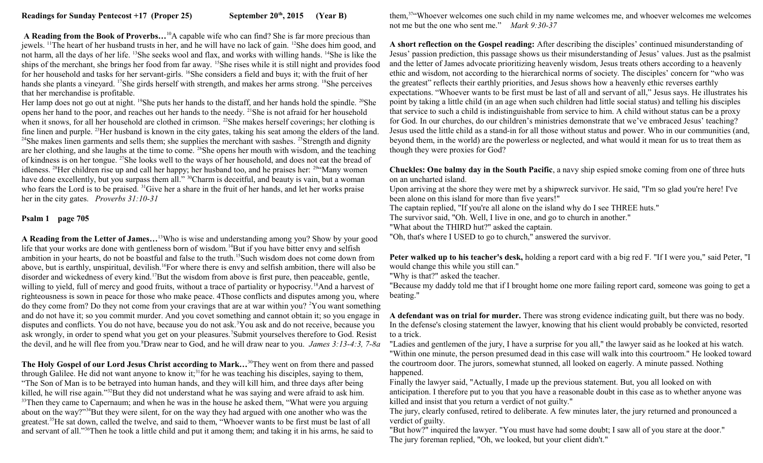**A Reading from the Book of Proverbs…**<sup>10</sup>A capable wife who can find? She is far more precious than jewels. <sup>11</sup>The heart of her husband trusts in her, and he will have no lack of gain. <sup>12</sup>She does him good, and not harm, all the days of her life. <sup>13</sup>She seeks wool and flax, and works with willing hands. <sup>14</sup>She is like the ships of the merchant, she brings her food from far away. <sup>15</sup>She rises while it is still night and provides food for her household and tasks for her servant-girls. <sup>16</sup>She considers a field and buys it; with the fruit of her hands she plants a vineyard. <sup>17</sup>She girds herself with strength, and makes her arms strong. <sup>18</sup>She perceives that her merchandise is profitable.

Her lamp does not go out at night. <sup>19</sup>She puts her hands to the distaff, and her hands hold the spindle. <sup>20</sup>She opens her hand to the poor, and reaches out her hands to the needy. <sup>21</sup>She is not afraid for her household when it snows, for all her household are clothed in crimson. <sup>22</sup>She makes herself coverings; her clothing is fine linen and purple. <sup>23</sup>Her husband is known in the city gates, taking his seat among the elders of the land. <sup>24</sup>She makes linen garments and sells them; she supplies the merchant with sashes. <sup>25</sup>Strength and dignity are her clothing, and she laughs at the time to come. <sup>26</sup>She opens her mouth with wisdom, and the teaching of kindness is on her tongue. <sup>27</sup>She looks well to the ways of her household, and does not eat the bread of idleness. <sup>28</sup>Her children rise up and call her happy; her husband too, and he praises her: <sup>29"</sup>Many women have done excellently, but you surpass them all." <sup>30</sup>Charm is deceitful, and beauty is vain, but a woman who fears the Lord is to be praised. <sup>31</sup>Give her a share in the fruit of her hands, and let her works praise her in the city gates. *Proverbs 31:10-31*

#### **Psalm 1 page 705**

**A Reading from the Letter of James…**<sup>13</sup>Who is wise and understanding among you? Show by your good life that your works are done with gentleness born of wisdom.<sup>14</sup>But if you have bitter envy and selfish ambition in your hearts, do not be boastful and false to the truth.<sup>15</sup>Such wisdom does not come down from above, but is earthly, unspiritual, devilish.<sup>16</sup>For where there is envy and selfish ambition, there will also be disorder and wickedness of every kind.<sup>17</sup>But the wisdom from above is first pure, then peaceable, gentle, willing to yield, full of mercy and good fruits, without a trace of partiality or hypocrisy.<sup>18</sup>And a harvest of righteousness is sown in peace for those who make peace. 4Those conflicts and disputes among you, where do they come from? Do they not come from your cravings that are at war within you? <sup>2</sup>You want something and do not have it; so you commit murder. And you covet something and cannot obtain it; so you engage in disputes and conflicts. You do not have, because you do not ask.<sup>3</sup>You ask and do not receive, because you ask wrongly, in order to spend what you get on your pleasures.<sup>7</sup>Submit yourselves therefore to God. Resist the devil, and he will flee from you.<sup>8</sup>Draw near to God, and he will draw near to you. *James 3:13-4:3, 7-8a*

**The Holy Gospel of our Lord Jesus Christ according to Mark…**<sup>30</sup>They went on from there and passed through Galilee. He did not want anyone to know it;<sup>31</sup>for he was teaching his disciples, saying to them, "The Son of Man is to be betrayed into human hands, and they will kill him, and three days after being killed, he will rise again."<sup>32</sup>But they did not understand what he was saying and were afraid to ask him. <sup>33</sup>Then they came to Capernaum; and when he was in the house he asked them, "What were you arguing about on the way?"<sup>34</sup>But they were silent, for on the way they had argued with one another who was the greatest.<sup>35</sup>He sat down, called the twelve, and said to them, "Whoever wants to be first must be last of all and servant of all."<sup>36</sup>Then he took a little child and put it among them; and taking it in his arms, he said to

them,<sup>37</sup>"Whoever welcomes one such child in my name welcomes me, and whoever welcomes me welcomes not me but the one who sent me." *Mark 9:30-37* 

**A short reflection on the Gospel reading:** After describing the disciples' continued misunderstanding of Jesus' passion prediction, this passage shows us their misunderstanding of Jesus' values. Just as the psalmist and the letter of James advocate prioritizing heavenly wisdom, Jesus treats others according to a heavenly ethic and wisdom, not according to the hierarchical norms of society. The disciples' concern for "who was the greatest" reflects their earthly priorities, and Jesus shows how a heavenly ethic reverses earthly expectations. "Whoever wants to be first must be last of all and servant of all," Jesus says. He illustrates his point by taking a little child (in an age when such children had little social status) and telling his disciples that service to such a child is indistinguishable from service to him. A child without status can be a proxy for God. In our churches, do our children's ministries demonstrate that we've embraced Jesus' teaching? Jesus used the little child as a stand-in for all those without status and power. Who in our communities (and, beyond them, in the world) are the powerless or neglected, and what would it mean for us to treat them as though they were proxies for God?

#### **Chuckles: One balmy day in the South Pacific**, a navy ship espied smoke coming from one of three huts on an uncharted island.

Upon arriving at the shore they were met by a shipwreck survivor. He said, "I'm so glad you're here! I've been alone on this island for more than five years!"

The captain replied, "If you're all alone on the island why do I see THREE huts."

The survivor said, "Oh. Well, I live in one, and go to church in another."

"What about the THIRD hut?" asked the captain.

"Oh, that's where I USED to go to church," answered the survivor.

**Peter walked up to his teacher's desk,** holding a report card with a big red F. "If I were you," said Peter, "I would change this while you still can."

"Why is that?" asked the teacher.

"Because my daddy told me that if I brought home one more failing report card, someone was going to get a beating."

**A defendant was on trial for murder.** There was strong evidence indicating guilt, but there was no body. In the defense's closing statement the lawyer, knowing that his client would probably be convicted, resorted to a trick.

"Ladies and gentlemen of the jury, I have a surprise for you all," the lawyer said as he looked at his watch. "Within one minute, the person presumed dead in this case will walk into this courtroom." He looked toward the courtroom door. The jurors, somewhat stunned, all looked on eagerly. A minute passed. Nothing happened.

Finally the lawyer said, "Actually, I made up the previous statement. But, you all looked on with anticipation. I therefore put to you that you have a reasonable doubt in this case as to whether anyone was killed and insist that you return a verdict of not guilty."

The jury, clearly confused, retired to deliberate. A few minutes later, the jury returned and pronounced a verdict of guilty.

"But how?" inquired the lawyer. "You must have had some doubt; I saw all of you stare at the door." The jury foreman replied, "Oh, we looked, but your client didn't."